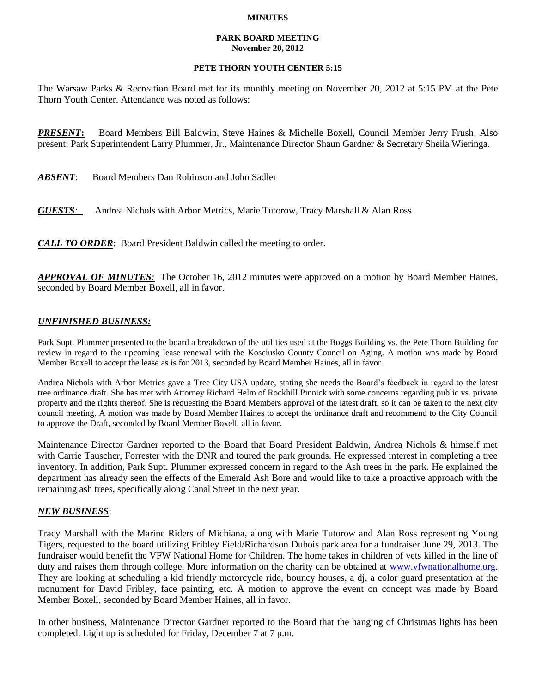#### **MINUTES**

#### **PARK BOARD MEETING November 20, 2012**

# **PETE THORN YOUTH CENTER 5:15**

The Warsaw Parks & Recreation Board met for its monthly meeting on November 20, 2012 at 5:15 PM at the Pete Thorn Youth Center. Attendance was noted as follows:

*PRESENT***:** Board Members Bill Baldwin, Steve Haines & Michelle Boxell, Council Member Jerry Frush. Also present: Park Superintendent Larry Plummer, Jr., Maintenance Director Shaun Gardner & Secretary Sheila Wieringa.

| ABSENT:<br>Board Members Dan Robinson and John Sadler |
|-------------------------------------------------------|
|-------------------------------------------------------|

*GUESTS:*Andrea Nichols with Arbor Metrics, Marie Tutorow, Tracy Marshall & Alan Ross

*CALL TO ORDER*: Board President Baldwin called the meeting to order.

*APPROVAL OF MINUTES:* The October 16, 2012 minutes were approved on a motion by Board Member Haines, seconded by Board Member Boxell, all in favor.

# *UNFINISHED BUSINESS:*

Park Supt. Plummer presented to the board a breakdown of the utilities used at the Boggs Building vs. the Pete Thorn Building for review in regard to the upcoming lease renewal with the Kosciusko County Council on Aging. A motion was made by Board Member Boxell to accept the lease as is for 2013, seconded by Board Member Haines, all in favor.

Andrea Nichols with Arbor Metrics gave a Tree City USA update, stating she needs the Board's feedback in regard to the latest tree ordinance draft. She has met with Attorney Richard Helm of Rockhill Pinnick with some concerns regarding public vs. private property and the rights thereof. She is requesting the Board Members approval of the latest draft, so it can be taken to the next city council meeting. A motion was made by Board Member Haines to accept the ordinance draft and recommend to the City Council to approve the Draft, seconded by Board Member Boxell, all in favor.

Maintenance Director Gardner reported to the Board that Board President Baldwin, Andrea Nichols & himself met with Carrie Tauscher, Forrester with the DNR and toured the park grounds. He expressed interest in completing a tree inventory. In addition, Park Supt. Plummer expressed concern in regard to the Ash trees in the park. He explained the department has already seen the effects of the Emerald Ash Bore and would like to take a proactive approach with the remaining ash trees, specifically along Canal Street in the next year.

### *NEW BUSINESS*:

Tracy Marshall with the Marine Riders of Michiana, along with Marie Tutorow and Alan Ross representing Young Tigers, requested to the board utilizing Fribley Field/Richardson Dubois park area for a fundraiser June 29, 2013. The fundraiser would benefit the VFW National Home for Children. The home takes in children of vets killed in the line of duty and raises them through college. More information on the charity can be obtained at [www.vfwnationalhome.org.](http://www.vfwnationalhome.org/) They are looking at scheduling a kid friendly motorcycle ride, bouncy houses, a dj, a color guard presentation at the monument for David Fribley, face painting, etc. A motion to approve the event on concept was made by Board Member Boxell, seconded by Board Member Haines, all in favor.

In other business, Maintenance Director Gardner reported to the Board that the hanging of Christmas lights has been completed. Light up is scheduled for Friday, December 7 at 7 p.m.